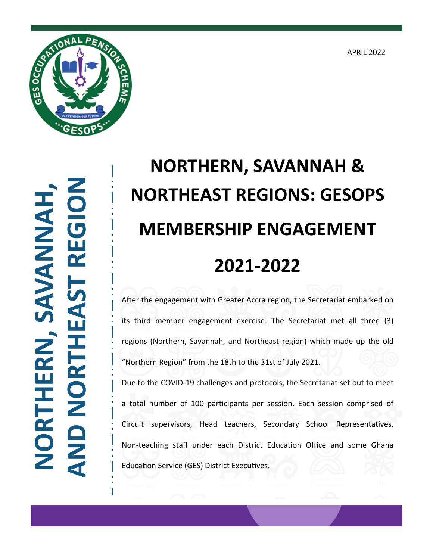APRIL 2022



**NORTHERN, SAVANNAH, AND NORTHEAST REGION JORTHERN, SAVANNAH** 

## **NORTHERN, SAVANNAH & NORTHEAST REGIONS: GESOPS MEMBERSHIP ENGAGEMENT 2021-2022**

After the engagement with Greater Accra region, the Secretariat embarked on its third member engagement exercise. The Secretariat met all three (3) regions (Northern, Savannah, and Northeast region) which made up the old "Northern Region" from the 18th to the 31st of July 2021.

Due to the COVID-19 challenges and protocols, the Secretariat set out to meet a total number of 100 participants per session. Each session comprised of Circuit supervisors, Head teachers, Secondary School Representatives, Non-teaching staff under each District Education Office and some Ghana Education Service (GES) District Executives.